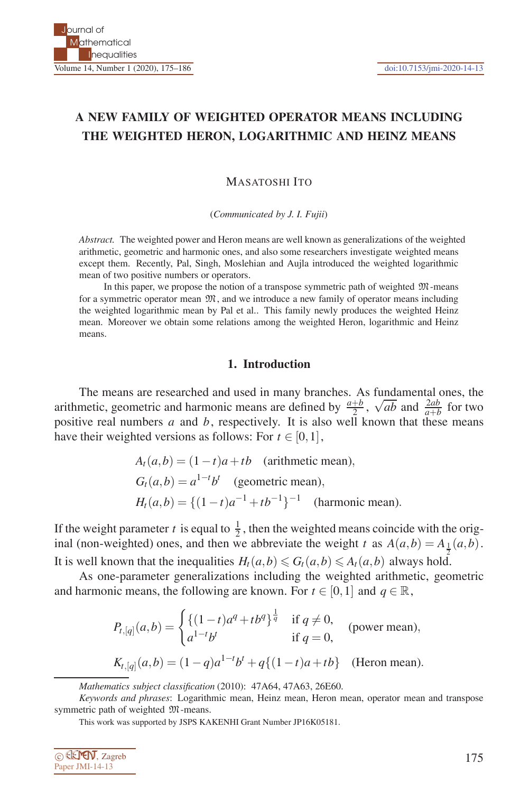## **A NEW FAMILY OF WEIGHTED OPERATOR MEANS INCLUDING THE WEIGHTED HERON, LOGARITHMIC AND HEINZ MEANS**

MASATOSHI ITO

(*Communicated by J. I. Fujii*)

*Abstract.* The weighted power and Heron means are well known as generalizations of the weighted arithmetic, geometric and harmonic ones, and also some researchers investigate weighted means except them. Recently, Pal, Singh, Moslehian and Aujla introduced the weighted logarithmic mean of two positive numbers or operators.

In this paper, we propose the notion of a transpose symmetric path of weighted  $\mathfrak{M}$ -means for a symmetric operator mean  $\mathfrak{M}$ , and we introduce a new family of operator means including the weighted logarithmic mean by Pal et al.. This family newly produces the weighted Heinz mean. Moreover we obtain some relations among the weighted Heron, logarithmic and Heinz means.

### **1. Introduction**

The means are researched and used in many branches. As fundamental ones, the arithmetic, geometric and harmonic means are defined by  $\frac{a+b}{2}$ ,  $\sqrt{ab}$  and  $\frac{2ab}{a+b}$  for two positive real numbers *a* and *b*, respectively. It is also well known that these means have their weighted versions as follows: For  $t \in [0,1]$ ,

$$
A_t(a,b) = (1-t)a + tb
$$
 (arithmetic mean),  
\n
$$
G_t(a,b) = a^{1-t}b^t
$$
 (geometric mean),  
\n
$$
H_t(a,b) = \{(1-t)a^{-1} + tb^{-1}\}^{-1}
$$
 (harmonic mean).

If the weight parameter *t* is equal to  $\frac{1}{2}$ , then the weighted means coincide with the original (non-weighted) ones, and then we abbreviate the weight *t* as  $A(a,b) = A_{\frac{1}{2}}(a,b)$ . It is well known that the inequalities  $H_t(a,b) \le G_t(a,b) \le A_t(a,b)$  always hold.

As one-parameter generalizations including the weighted arithmetic, geometric and harmonic means, the following are known. For  $t \in [0,1]$  and  $q \in \mathbb{R}$ ,

$$
P_{t,[q]}(a,b) = \begin{cases} \{(1-t)a^q + tb^q\}^{\frac{1}{q}} & \text{if } q \neq 0, \\ a^{1-t}b^t & \text{if } q = 0, \end{cases} \text{ (power mean)},
$$
  

$$
K_{t,[q]}(a,b) = (1-q)a^{1-t}b^t + q\{(1-t)a + tb\} \text{ (Heron mean)}.
$$

This work was supported by JSPS KAKENHI Grant Number JP16K05181.



*Mathematics subject classification* (2010): 47A64, 47A63, 26E60.

*Keywords and phrases*: Logarithmic mean, Heinz mean, Heron mean, operator mean and transpose symmetric path of weighted  $\mathfrak{M}$ -means.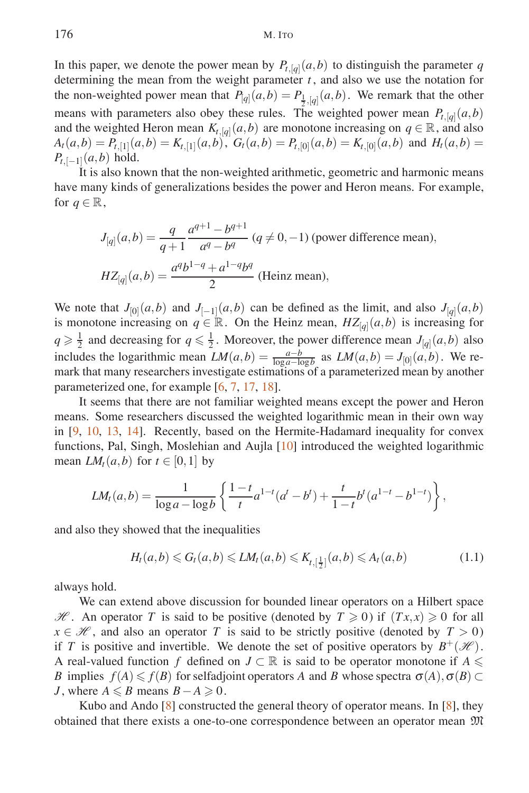In this paper, we denote the power mean by  $P_{t,[q]}(a,b)$  to distinguish the parameter *q* determining the mean from the weight parameter  $t$ , and also we use the notation for the non-weighted power mean that  $P_{[q]}(a,b) = P_{\frac{1}{2},[q]}(a,b)$ . We remark that the other means with parameters also obey these rules. The weighted power mean  $P_{t,[q]}(a,b)$ and the weighted Heron mean  $K_{t,[q]}(a,b)$  are monotone increasing on  $q \in \mathbb{R}$ , and also  $A_t(a,b) = P_{t,1}(a,b) = K_{t,1}(a,b), G_t(a,b) = P_{t,0}(a,b) = K_{t,0}(a,b)$  and  $H_t(a,b) =$  $P_{t,[-1]}(a,b)$  hold.

It is also known that the non-weighted arithmetic, geometric and harmonic means have many kinds of generalizations besides the power and Heron means. For example, for  $q \in \mathbb{R}$ ,

$$
J_{[q]}(a,b) = \frac{q}{q+1} \frac{a^{q+1} - b^{q+1}}{a^q - b^q} \ (q \neq 0, -1) \text{ (power difference mean)},
$$
  

$$
HZ_{[q]}(a,b) = \frac{a^q b^{1-q} + a^{1-q} b^q}{2} \text{ (Heinz mean)},
$$

We note that  $J_{[0]}(a,b)$  and  $J_{[-1]}(a,b)$  can be defined as the limit, and also  $J_{[q]}(a,b)$ is monotone increasing on  $q \in \mathbb{R}$ . On the Heinz mean,  $HZ_{[q]}(a,b)$  is increasing for  $q \ge \frac{1}{2}$  and decreasing for  $q \le \frac{1}{2}$ . Moreover, the power difference mean  $J_{[q]}(a,b)$  also includes the logarithmic mean  $LM(a,b) = \frac{a-b}{\log a - \log b}$  as  $LM(a,b) = J_{[0]}(a,b)$ . We remark that many researchers investigate estimations of a parameterized mean by another parameterized one, for example [6, 7, 17, 18].

It seems that there are not familiar weighted means except the power and Heron means. Some researchers discussed the weighted logarithmic mean in their own way in [9, 10, 13, 14]. Recently, based on the Hermite-Hadamard inequality for convex functions, Pal, Singh, Moslehian and Aujla [10] introduced the weighted logarithmic mean  $LM_t(a,b)$  for  $t \in [0,1]$  by

$$
LM_t(a,b) = \frac{1}{\log a - \log b} \left\{ \frac{1-t}{t} a^{1-t} (a^t - b^t) + \frac{t}{1-t} b^t (a^{1-t} - b^{1-t}) \right\},\,
$$

and also they showed that the inequalities

$$
H_t(a,b) \leq G_t(a,b) \leq L M_t(a,b) \leq K_{t,\lfloor \frac{1}{2} \rfloor}(a,b) \leq A_t(a,b) \tag{1.1}
$$

always hold.

We can extend above discussion for bounded linear operators on a Hilbert space *H* . An operator *T* is said to be positive (denoted by  $T \ge 0$ ) if  $(Tx,x) \ge 0$  for all  $x \in \mathcal{H}$ , and also an operator *T* is said to be strictly positive (denoted by  $T > 0$ ) if *T* is positive and invertible. We denote the set of positive operators by  $B^+(\mathcal{H})$ . A real-valued function *f* defined on  $J \subset \mathbb{R}$  is said to be operator monotone if  $A \leq$ *B* implies  $f(A) \leq f(B)$  for selfadjoint operators *A* and *B* whose spectra  $\sigma(A), \sigma(B) \subset$ *J*, where  $A \le B$  means  $B - A \ge 0$ .

Kubo and Ando  $[8]$  constructed the general theory of operator means. In  $[8]$ , they obtained that there exists a one-to-one correspondence between an operator mean M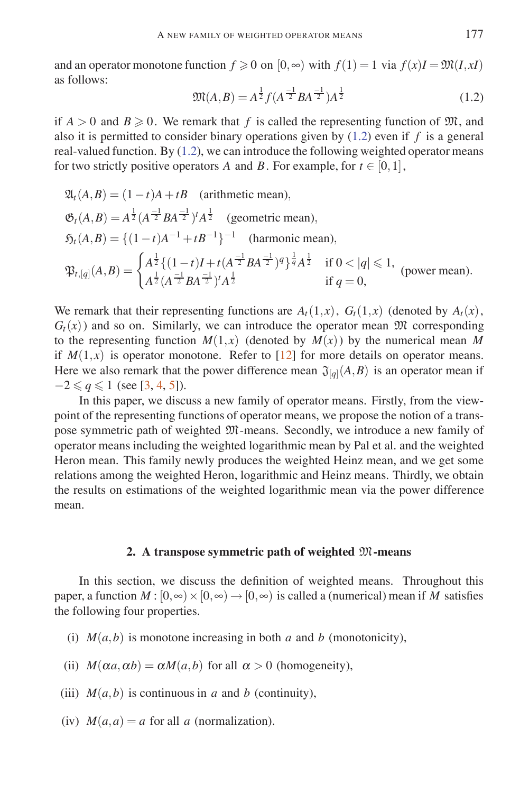and an operator monotone function  $f \ge 0$  on  $[0, \infty)$  with  $f(1) = 1$  via  $f(x)I = \mathfrak{M}(I, xI)$ as follows:

$$
\mathfrak{M}(A,B) = A^{\frac{1}{2}} f(A^{\frac{-1}{2}} B A^{\frac{-1}{2}}) A^{\frac{1}{2}}
$$
\n(1.2)

if  $A > 0$  and  $B \ge 0$ . We remark that f is called the representing function of  $\mathfrak{M}$ , and also it is permitted to consider binary operations given by (1.2) even if *f* is a general real-valued function. By (1.2), we can introduce the following weighted operator means for two strictly positive operators *A* and *B*. For example, for  $t \in [0,1]$ ,

$$
\mathfrak{A}_{t}(A,B) = (1-t)A + tB \quad \text{(arithmetic mean)},
$$
\n
$$
\mathfrak{G}_{t}(A,B) = A^{\frac{1}{2}} (A^{\frac{-1}{2}} B A^{\frac{-1}{2}})^{t} A^{\frac{1}{2}} \quad \text{(geometric mean)},
$$
\n
$$
\mathfrak{H}_{t}(A,B) = \{ (1-t)A^{-1} + tB^{-1} \}^{-1} \quad \text{(harmonic mean)},
$$
\n
$$
\mathfrak{P}_{t,[q]}(A,B) = \begin{cases} A^{\frac{1}{2}} \{ (1-t)I + t(A^{\frac{-1}{2}} B A^{\frac{-1}{2}})^{q} \}^{\frac{1}{q}} A^{\frac{1}{2}} & \text{if } 0 < |q| \leq 1, \\ A^{\frac{1}{2}} (A^{\frac{-1}{2}} B A^{\frac{-1}{2}})^{t} A^{\frac{1}{2}} & \text{if } q = 0, \end{cases} \quad \text{(power mean)}.
$$

We remark that their representing functions are  $A_t(1,x)$ ,  $G_t(1,x)$  (denoted by  $A_t(x)$ ,  $G_t(x)$ ) and so on. Similarly, we can introduce the operator mean  $\mathfrak{M}$  corresponding to the representing function  $M(1,x)$  (denoted by  $M(x)$ ) by the numerical mean M if  $M(1, x)$  is operator monotone. Refer to [12] for more details on operator means. Here we also remark that the power difference mean  $\mathfrak{J}_{[a]}(A, B)$  is an operator mean if  $-2 \leqslant q \leqslant 1$  (see [3, 4, 5]).

In this paper, we discuss a new family of operator means. Firstly, from the viewpoint of the representing functions of operator means, we propose the notion of a transpose symmetric path of weighted M-means. Secondly, we introduce a new family of operator means including the weighted logarithmic mean by Pal et al. and the weighted Heron mean. This family newly produces the weighted Heinz mean, and we get some relations among the weighted Heron, logarithmic and Heinz means. Thirdly, we obtain the results on estimations of the weighted logarithmic mean via the power difference mean.

### **2. A transpose symmetric path of weighted** M**-means**

In this section, we discuss the definition of weighted means. Throughout this paper, a function  $M : [0, \infty) \times [0, \infty) \to [0, \infty)$  is called a (numerical) mean if *M* satisfies the following four properties.

(i)  $M(a,b)$  is monotone increasing in both *a* and *b* (monotonicity),

(ii)  $M(\alpha a, \alpha b) = \alpha M(a, b)$  for all  $\alpha > 0$  (homogeneity),

(iii)  $M(a, b)$  is continuous in *a* and *b* (continuity),

(iv)  $M(a,a) = a$  for all *a* (normalization).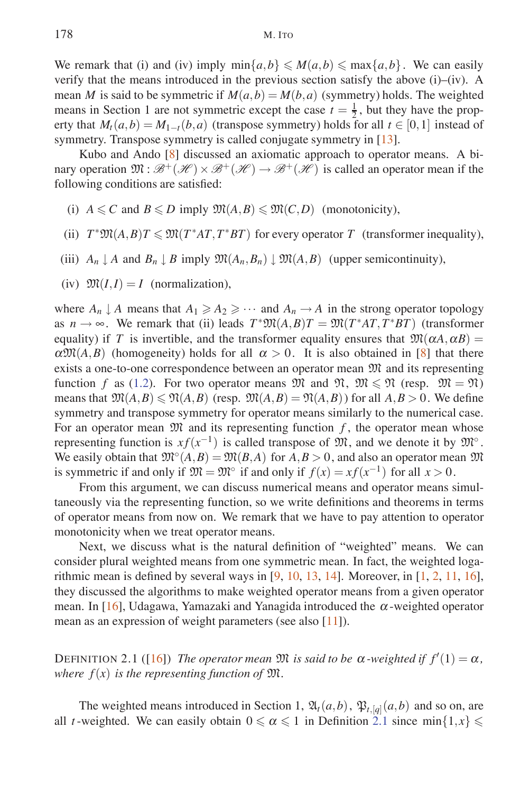We remark that (i) and (iv) imply  $\min\{a,b\} \leq M(a,b) \leq \max\{a,b\}$ . We can easily verify that the means introduced in the previous section satisfy the above (i)–(iv). A mean *M* is said to be symmetric if  $M(a,b) = M(b,a)$  (symmetry) holds. The weighted means in Section 1 are not symmetric except the case  $t = \frac{1}{2}$ , but they have the property that  $M_t(a,b) = M_{1-t}(b,a)$  (transpose symmetry) holds for all  $t \in [0,1]$  instead of symmetry. Transpose symmetry is called conjugate symmetry in [13].

Kubo and Ando [8] discussed an axiomatic approach to operator means. A binary operation  $\mathfrak{M} : \mathcal{B}^+(\mathcal{H}) \times \mathcal{B}^+(\mathcal{H}) \to \mathcal{B}^+(\mathcal{H})$  is called an operator mean if the following conditions are satisfied:

- (i)  $A \leq C$  and  $B \leq D$  imply  $\mathfrak{M}(A,B) \leq \mathfrak{M}(C,D)$  (monotonicity),
- (ii)  $T^* \mathfrak{M}(A,B)T \leq \mathfrak{M}(T^*AT,T^*BT)$  for every operator *T* (transformer inequality),
- (iii)  $A_n \downarrow A$  and  $B_n \downarrow B$  imply  $\mathfrak{M}(A_n, B_n) \downarrow \mathfrak{M}(A, B)$  (upper semicontinuity),
- (iv)  $\mathfrak{M}(I,I) = I$  (normalization),

where  $A_n \downarrow A$  means that  $A_1 \geq A_2 \geq \cdots$  and  $A_n \rightarrow A$  in the strong operator topology as  $n \to \infty$ . We remark that (ii) leads  $T^* \mathfrak{M}(A,B)T = \mathfrak{M}(T^*AT,T^*BT)$  (transformer equality) if *T* is invertible, and the transformer equality ensures that  $\mathfrak{M}(\alpha A, \alpha B) =$  $\alpha \mathfrak{M}(A,B)$  (homogeneity) holds for all  $\alpha > 0$ . It is also obtained in [8] that there exists a one-to-one correspondence between an operator mean  $\mathfrak{M}$  and its representing function *f* as (1.2). For two operator means  $M$  and  $M$ ,  $M \leq N$  (resp.  $M = M$ ) means that  $\mathfrak{M}(A,B) \le \mathfrak{N}(A,B)$  (resp.  $\mathfrak{M}(A,B) = \mathfrak{N}(A,B)$ ) for all  $A,B > 0$ . We define symmetry and transpose symmetry for operator means similarly to the numerical case. For an operator mean  $\mathfrak{M}$  and its representing function  $f$ , the operator mean whose representing function is  $xf(x^{-1})$  is called transpose of  $\mathfrak{M}$ , and we denote it by  $\mathfrak{M}^\circ$ . We easily obtain that  $\mathfrak{M}^{\circ}(A,B) = \mathfrak{M}(B,A)$  for  $A, B > 0$ , and also an operator mean  $\mathfrak{M}$ is symmetric if and only if  $\mathfrak{M} = \mathfrak{M}^\circ$  if and only if  $f(x) = xf(x^{-1})$  for all  $x > 0$ .

From this argument, we can discuss numerical means and operator means simultaneously via the representing function, so we write definitions and theorems in terms of operator means from now on. We remark that we have to pay attention to operator monotonicity when we treat operator means.

Next, we discuss what is the natural definition of "weighted" means. We can consider plural weighted means from one symmetric mean. In fact, the weighted logarithmic mean is defined by several ways in  $[9, 10, 13, 14]$ . Moreover, in  $[1, 2, 11, 16]$ , they discussed the algorithms to make weighted operator means from a given operator mean. In [16], Udagawa, Yamazaki and Yanagida introduced the  $\alpha$ -weighted operator mean as an expression of weight parameters (see also [11]).

DEFINITION 2.1 ([16]) *The operator mean*  $\mathfrak{M}$  *is said to be*  $\alpha$ *-weighted if*  $f'(1) = \alpha$ *, where*  $f(x)$  *is the representing function of*  $\mathfrak{M}$ *.* 

The weighted means introduced in Section 1,  $\mathfrak{A}_t(a,b)$ ,  $\mathfrak{P}_{t,[q]}(a,b)$  and so on, are all *t*-weighted. We can easily obtain  $0 \le \alpha \le 1$  in Definition 2.1 since min $\{1, x\} \le$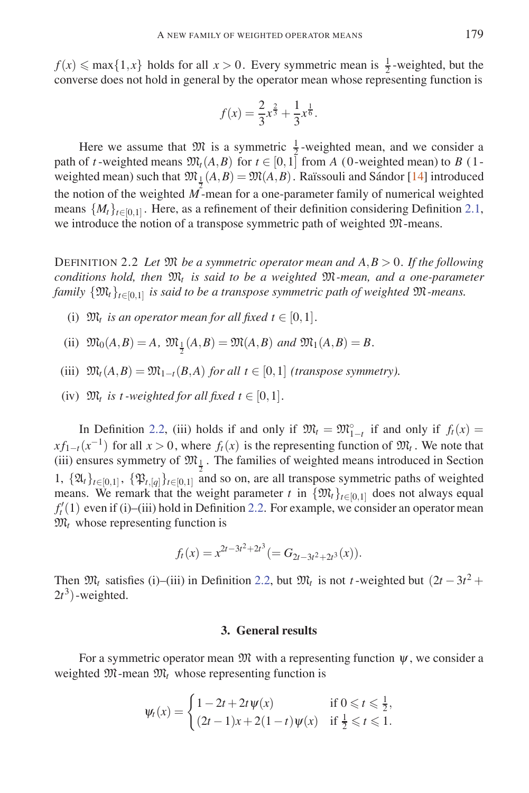$f(x) \leq \max\{1, x\}$  holds for all  $x > 0$ . Every symmetric mean is  $\frac{1}{2}$ -weighted, but the converse does not hold in general by the operator mean whose representing function is

$$
f(x) = \frac{2}{3}x^{\frac{2}{3}} + \frac{1}{3}x^{\frac{1}{6}}.
$$

Here we assume that  $\mathfrak{M}$  is a symmetric  $\frac{1}{2}$ -weighted mean, and we consider a path of *t*-weighted means  $\mathfrak{M}_t(A, B)$  for  $t \in [0, 1]$  from *A* (0-weighted mean) to *B* (1weighted mean) such that  $\mathfrak{M}_1(A,B) = \mathfrak{M}(A,B)$ . Raïssouli and Sándor [14] introduced the notion of the weighted  $\overline{M}$ -mean for a one-parameter family of numerical weighted means  $\{M_t\}_{t\in[0,1]}$ . Here, as a refinement of their definition considering Definition 2.1, we introduce the notion of a transpose symmetric path of weighted M-means.

DEFINITION 2.2 *Let* M *be a symmetric operator mean and A,B >* 0*. If the following conditions hold, then* M*<sup>t</sup> is said to be a weighted* M*-mean, and a one-parameter family*  $\{\mathfrak{M}_t\}_{t\in[0,1]}$  *is said to be a transpose symmetric path of weighted*  $\mathfrak{M}$ *-means.* 

- (i)  $\mathfrak{M}_t$  *is an operator mean for all fixed t*  $\in$  [0, 1].
- (ii)  $\mathfrak{M}_0(A, B) = A$ ,  $\mathfrak{M}_{\frac{1}{2}}(A, B) = \mathfrak{M}(A, B)$  and  $\mathfrak{M}_1(A, B) = B$ .
- (iii)  $\mathfrak{M}_t(A,B) = \mathfrak{M}_{1-t}(B,A)$  *for all t* ∈ [0, 1] *(transpose symmetry).*
- (iv)  $\mathfrak{M}_t$  *is t*-weighted for all fixed  $t \in [0,1]$ .

In Definition 2.2, (iii) holds if and only if  $\mathfrak{M}_t = \mathfrak{M}_{1-t}^{\circ}$  if and only if  $f_t(x) =$  $xf_{1-t}(x^{-1})$  for all  $x > 0$ , where  $f_t(x)$  is the representing function of  $\mathfrak{M}_t$ . We note that (iii) ensures symmetry of  $\mathfrak{M}_{\frac{1}{2}}$ . The families of weighted means introduced in Section 1,  $\{\mathfrak{A}_t\}_{t\in[0,1]}$ ,  $\{\mathfrak{P}_{t,[q]}\}_{t\in[0,1]}$  and so on, are all transpose symmetric paths of weighted means. We remark that the weight parameter *t* in  $\{\mathfrak{M}_t\}_{t\in[0,1]}$  does not always equal  $f'_{t}(1)$  even if (i)–(iii) hold in Definition 2.2. For example, we consider an operator mean  $\mathfrak{M}_t$  whose representing function is

$$
f_t(x) = x^{2t-3t^2+2t^3} (= G_{2t-3t^2+2t^3}(x)).
$$

Then  $\mathfrak{M}_t$  satisfies (i)–(iii) in Definition 2.2, but  $\mathfrak{M}_t$  is not *t*-weighted but  $(2t - 3t^2 +$  $2t^3$ ) -weighted.

### **3. General results**

For a symmetric operator mean  $\mathfrak{M}$  with a representing function  $\psi$ , we consider a weighted  $\mathfrak{M}$ -mean  $\mathfrak{M}_t$  whose representing function is

$$
\psi_t(x) = \begin{cases} 1 - 2t + 2t\psi(x) & \text{if } 0 \leqslant t \leqslant \frac{1}{2}, \\ (2t - 1)x + 2(1 - t)\psi(x) & \text{if } \frac{1}{2} \leqslant t \leqslant 1. \end{cases}
$$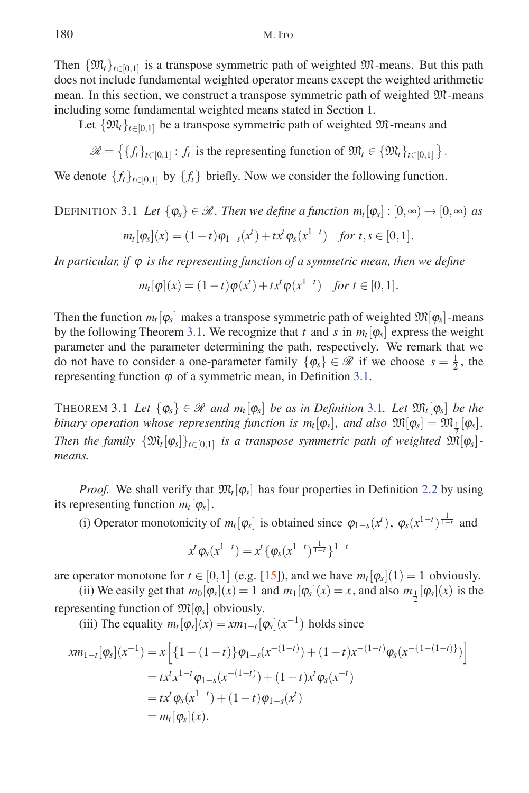Then  $\{\mathfrak{M}_t\}_{t\in[0,1]}$  is a transpose symmetric path of weighted  $\mathfrak{M}$ -means. But this path does not include fundamental weighted operator means except the weighted arithmetic mean. In this section, we construct a transpose symmetric path of weighted M-means including some fundamental weighted means stated in Section 1.

Let  $\{\mathfrak{M}_t\}_{t\in[0,1]}$  be a transpose symmetric path of weighted  $\mathfrak{M}$ -means and

 $\mathscr{R} = \left\{ \{f_t\}_{t \in [0,1]} : f_t \text{ is the representing function of } \mathfrak{M}_t \in \{ \mathfrak{M}_t \}_{t \in [0,1]} \right\}.$ 

We denote  $\{f_t\}_{t\in[0,1]}$  by  $\{f_t\}$  briefly. Now we consider the following function.

# DEFINITION 3.1 Let  $\{\varphi_s\} \in \mathcal{R}$ . Then we define a function  $m_t[\varphi_s] : [0, \infty) \to [0, \infty)$  as

$$
m_t[\varphi_s](x) = (1-t)\varphi_{1-s}(x^t) + tx^t\varphi_s(x^{1-t})
$$
 for  $t, s \in [0,1]$ .

*In particular, if* ϕ *is the representing function of a symmetric mean, then we define*

$$
m_t[\varphi](x) = (1-t)\varphi(x^t) + tx^t\varphi(x^{1-t})
$$
 for  $t \in [0,1]$ .

Then the function  $m_t[\varphi_s]$  makes a transpose symmetric path of weighted  $\mathfrak{M}[\varphi_s]$ -means by the following Theorem 3.1. We recognize that *t* and *s* in  $m_t[\varphi_s]$  express the weight parameter and the parameter determining the path, respectively. We remark that we do not have to consider a one-parameter family  $\{\varphi_s\} \in \mathcal{R}$  if we choose  $s = \frac{1}{2}$ , the representing function  $\varphi$  of a symmetric mean, in Definition 3.1.

THEOREM 3.1 *Let*  $\{\varphi_s\} \in \mathcal{R}$  *and*  $m_t[\varphi_s]$  *be as in Definition* 3.1*. Let*  $\mathfrak{M}_t[\varphi_s]$  *be the binary operation whose representing function is*  $m_t[\varphi_s]$ *, and also*  $\mathfrak{M}[\varphi_s] = \mathfrak{M}_{\frac{1}{2}}[\varphi_s]$ *. Then the family*  $\{\mathfrak{M}_{t}[\varphi_{s}]\}_{t\in[0,1]}$  *is a transpose symmetric path of weighted*  $\mathfrak{M}[\varphi_{s}]$ *means.*

*Proof.* We shall verify that  $\mathfrak{M}_t[\varphi_s]$  has four properties in Definition 2.2 by using its representing function  $m_t[\varphi_s]$ .

(i) Operator monotonicity of  $m_t[\varphi_s]$  is obtained since  $\varphi_{1-s}(x^t)$ ,  $\varphi_s(x^{1-t})^{\frac{1}{1-t}}$  and

$$
x^{t} \varphi_{s}(x^{1-t}) = x^{t} \{ \varphi_{s}(x^{1-t})^{\frac{1}{1-t}} \}^{1-t}
$$

are operator monotone for  $t \in [0,1]$  (e.g. [15]), and we have  $m_t[\varphi_s](1) = 1$  obviously.

(ii) We easily get that  $m_0[\varphi_s](x) = 1$  and  $m_1[\varphi_s](x) = x$ , and also  $m_{\frac{1}{2}}[\varphi_s](x)$  is the representing function of  $\mathfrak{M}[\varphi_s]$  obviously.

(iii) The equality  $m_t[\varphi_s](x) = xm_{1-t}[\varphi_s](x^{-1})$  holds since

$$
xm_{1-t}[\varphi_s](x^{-1}) = x \left[ \{ 1 - (1-t) \} \varphi_{1-s}(x^{-(1-t)}) + (1-t)x^{-(1-t)} \varphi_s(x^{-\{1-(1-t)\}}) \right]
$$
  
=  $tx^t x^{1-t} \varphi_{1-s}(x^{-(1-t)}) + (1-t)x^t \varphi_s(x^{-t})$   
=  $tx^t \varphi_s(x^{1-t}) + (1-t) \varphi_{1-s}(x^t)$   
=  $m_t[\varphi_s](x).$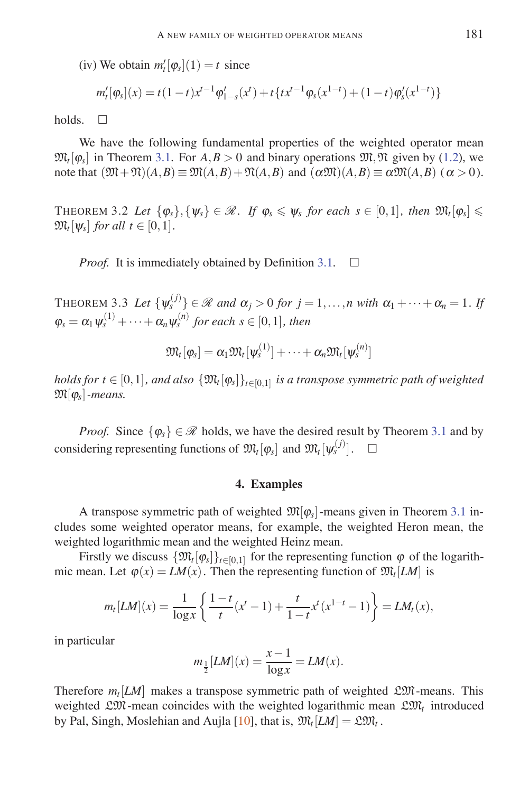(iv) We obtain  $m_t'[\varphi_s](1) = t$  since

$$
m'_{t}[\varphi_{s}](x) = t(1-t)x^{t-1}\varphi'_{1-s}(x^{t}) + t\{tx^{t-1}\varphi_{s}(x^{1-t}) + (1-t)\varphi'_{s}(x^{1-t})\}
$$

holds.  $\square$ 

We have the following fundamental properties of the weighted operator mean  $\mathfrak{M}_t[\varphi_s]$  in Theorem 3.1. For  $A, B > 0$  and binary operations  $\mathfrak{M}, \mathfrak{N}$  given by (1.2), we note that  $(\mathfrak{M} + \mathfrak{N})(A, B) \equiv \mathfrak{M}(A, B) + \mathfrak{N}(A, B)$  and  $(\alpha \mathfrak{M})(A, B) \equiv \alpha \mathfrak{M}(A, B)$  ( $\alpha > 0$ ).

THEOREM 3.2 Let  $\{\varphi_s\}, \{\psi_s\} \in \mathcal{R}$ . If  $\varphi_s \leq \psi_s$  for each  $s \in [0,1]$ , then  $\mathfrak{M}_t[\varphi_s] \leq$  $\mathfrak{M}_t[w_s]$  *for all t*  $\in$  [0, 1].

*Proof.* It is immediately obtained by Definition 3.1.  $\Box$ 

THEOREM 3.3 Let  $\{\psi_s^{(j)}\} \in \mathcal{R}$  and  $\alpha_j > 0$  for  $j = 1, \ldots, n$  with  $\alpha_1 + \cdots + \alpha_n = 1$ . If  $\varphi_s = \alpha_1 \psi_s^{(1)} + \cdots + \alpha_n \psi_s^{(n)}$  for each  $s \in [0,1]$ , then

$$
\mathfrak{M}_t[\varphi_s] = \alpha_1 \mathfrak{M}_t[\psi_s^{(1)}] + \cdots + \alpha_n \mathfrak{M}_t[\psi_s^{(n)}]
$$

*holds for*  $t \in [0,1]$ *, and also*  $\{\mathfrak{M}_t[\varphi_s]\}_{t \in [0,1]}$  *is a transpose symmetric path of weighted*  $\mathfrak{M}[\varphi_s]$ *-means.* 

*Proof.* Since  $\{\varphi_s\} \in \mathcal{R}$  holds, we have the desired result by Theorem 3.1 and by considering representing functions of  $\mathfrak{M}_t[\varphi_s]$  and  $\mathfrak{M}_t[\psi_s^{(j)}]$ .  $\Box$ 

### **4. Examples**

A transpose symmetric path of weighted  $\mathfrak{M}[\varphi_{\rm s}]$ -means given in Theorem 3.1 includes some weighted operator means, for example, the weighted Heron mean, the weighted logarithmic mean and the weighted Heinz mean.

Firstly we discuss  $\{\mathfrak{M}_t[\varphi_s]\}_{t\in[0,1]}$  for the representing function  $\varphi$  of the logarithmic mean. Let  $\varphi(x) = LM(x)$ . Then the representing function of  $\mathfrak{M}_t[LM]$  is

$$
m_t[LM](x) = \frac{1}{\log x} \left\{ \frac{1-t}{t} (x^t - 1) + \frac{t}{1-t} x^t (x^{1-t} - 1) \right\} = LM_t(x),
$$

in particular

$$
m_{\frac{1}{2}}[LM](x) = \frac{x-1}{\log x} = LM(x).
$$

Therefore  $m_l$ [*LM*] makes a transpose symmetric path of weighted  $\mathfrak{L} \mathfrak{M}$ -means. This weighted LM-mean coincides with the weighted logarithmic mean  $\mathfrak{L}M_t$  introduced by Pal, Singh, Moslehian and Aujla [10], that is,  $\mathfrak{M}_t[LM] = \mathfrak{L}\mathfrak{M}_t$ .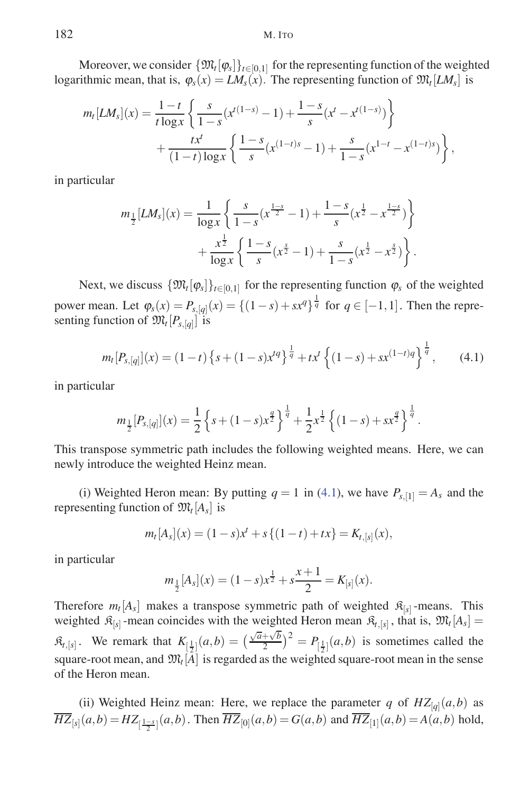Moreover, we consider  $\{\mathfrak{M}_t[\varphi_s]\}_{t\in[0,1]}$  for the representing function of the weighted logarithmic mean, that is,  $\varphi_s(x) = LM_s(x)$ . The representing function of  $\mathfrak{M}_t[LM_s]$  is

$$
m_t[LM_s](x) = \frac{1-t}{t \log x} \left\{ \frac{s}{1-s} (x^{t(1-s)} - 1) + \frac{1-s}{s} (x^t - x^{t(1-s)}) \right\} + \frac{tx^t}{(1-t) \log x} \left\{ \frac{1-s}{s} (x^{(1-t)s} - 1) + \frac{s}{1-s} (x^{1-t} - x^{(1-t)s}) \right\},
$$

in particular

$$
m_{\frac{1}{2}}[LM_{s}](x) = \frac{1}{\log x} \left\{ \frac{s}{1-s} (x^{\frac{1-s}{2}} - 1) + \frac{1-s}{s} (x^{\frac{1}{2}} - x^{\frac{1-s}{2}}) \right\} + \frac{x^{\frac{1}{2}}}{\log x} \left\{ \frac{1-s}{s} (x^{\frac{s}{2}} - 1) + \frac{s}{1-s} (x^{\frac{1}{2}} - x^{\frac{s}{2}}) \right\}.
$$

Next, we discuss  $\{\mathfrak{M}_t[\varphi_s]\}_{t\in[0,1]}$  for the representing function  $\varphi_s$  of the weighted power mean. Let  $\varphi_s(x) = P_{s,[q]}(x) = \{(1-s) + sx^q\}^{\frac{1}{q}}$  for  $q \in [-1,1]$ . Then the representing function of  $\mathfrak{M}_t[P_{s,[q]}]$  is

$$
m_t[P_{s,[q]}](x) = (1-t)\left\{s + (1-s)x^{tq}\right\}^{\frac{1}{q}} + tx^t\left\{(1-s) + sx^{(1-t)q}\right\}^{\frac{1}{q}},\qquad(4.1)
$$

in particular

$$
m_{\frac{1}{2}}[P_{s,[q]}](x) = \frac{1}{2}\left\{s + (1-s)x^{\frac{q}{2}}\right\}^{\frac{1}{q}} + \frac{1}{2}x^{\frac{1}{2}}\left\{(1-s) + sx^{\frac{q}{2}}\right\}^{\frac{1}{q}}.
$$

This transpose symmetric path includes the following weighted means. Here, we can newly introduce the weighted Heinz mean.

(i) Weighted Heron mean: By putting  $q = 1$  in (4.1), we have  $P_{s, [1]} = A_s$  and the representing function of  $\mathfrak{M}_t[A_s]$  is

$$
m_t[A_s](x) = (1-s)x^t + s\{(1-t) + tx\} = K_{t,[s]}(x),
$$

in particular

$$
m_{\frac{1}{2}}[A_s](x) = (1-s)x^{\frac{1}{2}} + s\frac{x+1}{2} = K_{[s]}(x).
$$

Therefore  $m_t[A_s]$  makes a transpose symmetric path of weighted  $\mathcal{R}_{[s]}$ -means. This weighted  $\mathcal{R}_{[s]}$ -mean coincides with the weighted Heron mean  $\mathcal{R}_{t,[s]}$ , that is,  $\mathfrak{M}_t[A_s]$  $\mathcal{R}_{t,[s]}$ . We remark that  $K_{\left[\frac{1}{2}\right]}(a,b) = \left(\frac{\sqrt{a}+\sqrt{b}}{2}\right)$  $\left(\frac{2+\sqrt{b}}{2}\right)^2 = P_{\left[\frac{1}{2}\right]}(a,b)$  is sometimes called the square-root mean, and  $\mathfrak{M}_t[A]$  is regarded as the weighted square-root mean in the sense of the Heron mean.

(ii) Weighted Heinz mean: Here, we replace the parameter *q* of  $HZ_{[q]}(a,b)$  as  $\overline{HZ}_{[s]}(a,b) = HZ_{[\frac{1-s}{2}]}(a,b)$ . Then  $\overline{HZ}_{[0]}(a,b) = G(a,b)$  and  $\overline{HZ}_{[1]}(a,b) = A(a,b)$  hold,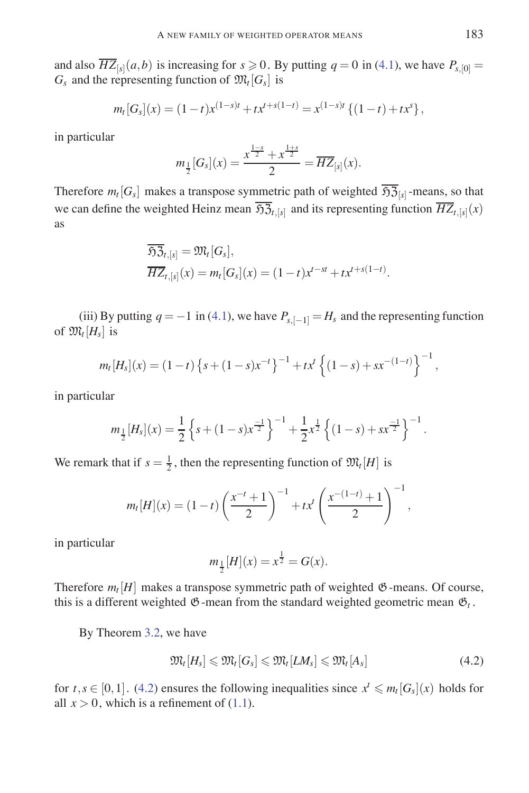and also  $\overline{HZ}_{[s]}(a,b)$  is increasing for  $s \ge 0$ . By putting  $q = 0$  in (4.1), we have  $P_{s,[0]} =$  $G_s$  and the representing function of  $\mathfrak{M}_t[G_s]$  is

$$
m_t[G_s](x) = (1-t)x^{(1-s)t} + tx^{t+s(1-t)} = x^{(1-s)t} \{ (1-t) + tx^s \},
$$

in particular

$$
m_{\frac{1}{2}}[G_{s}](x) = \frac{x^{\frac{1-s}{2}} + x^{\frac{1+s}{2}}}{2} = \overline{HZ}_{[s]}(x).
$$

Therefore  $m_t[G_s]$  makes a transpose symmetric path of weighted  $\overline{\mathfrak{H}(\overline{\mathfrak{H}})}_{[s]}$ -means, so that we can define the weighted Heinz mean  $\overline{\mathfrak{H}}_{2t,[s]}$  and its representing function  $\overline{HZ}_{t,[s]}(x)$ as

$$
\overline{\mathfrak{H}Z}_{t,[s]} = \mathfrak{M}_t[G_s],
$$
  

$$
\overline{HZ}_{t,[s]}(x) = m_t[G_s](x) = (1-t)x^{t-st} + tx^{t+s(1-t)}.
$$

(iii) By putting  $q = -1$  in (4.1), we have  $P_{s,[-1]} = H_s$  and the representing function of  $\mathfrak{M}_t[H_s]$  is

$$
m_t[H_s](x) = (1-t)\left\{s + (1-s)x^{-t}\right\}^{-1} + tx^t\left\{(1-s) + sx^{-(1-t)}\right\}^{-1},
$$

in particular

$$
m_{\frac{1}{2}}[H_s](x) = \frac{1}{2}\left\{s + (1-s)x^{\frac{-1}{2}}\right\}^{-1} + \frac{1}{2}x^{\frac{1}{2}}\left\{(1-s) + sx^{\frac{-1}{2}}\right\}^{-1}.
$$

We remark that if  $s = \frac{1}{2}$ , then the representing function of  $\mathfrak{M}_t[H]$  is

$$
m_t[H](x) = (1-t)\left(\frac{x^{-t}+1}{2}\right)^{-1} + tx^t\left(\frac{x^{-(1-t)}+1}{2}\right)^{-1},
$$

in particular

$$
m_{\frac{1}{2}}[H](x) = x^{\frac{1}{2}} = G(x).
$$

Therefore  $m_t$  [H] makes a transpose symmetric path of weighted  $\mathfrak{G}$ -means. Of course, this is a different weighted  $\mathfrak{G}$ -mean from the standard weighted geometric mean  $\mathfrak{G}_t$ .

By Theorem 3.2, we have

$$
\mathfrak{M}_{t}[H_{s}] \leqslant \mathfrak{M}_{t}[G_{s}] \leqslant \mathfrak{M}_{t}[L M_{s}] \leqslant \mathfrak{M}_{t}[A_{s}]
$$
\n
$$
(4.2)
$$

for  $t, s \in [0, 1]$ . (4.2) ensures the following inequalities since  $x^t \leq m_t[G_s](x)$  holds for all  $x > 0$ , which is a refinement of (1.1).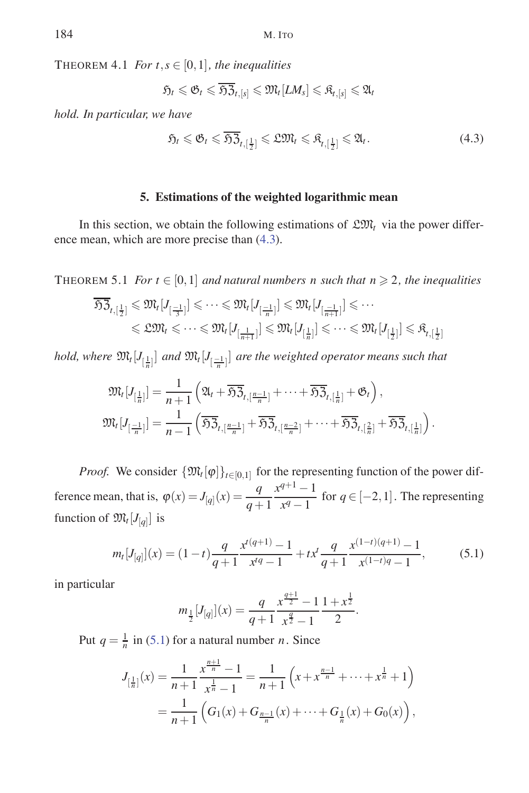THEOREM 4.1 *For*  $t, s \in [0,1]$ *, the inequalities* 

$$
\mathfrak{H}_t\leqslant \mathfrak{G}_t\leqslant \overline{\mathfrak{H} \mathfrak{Z}_{t,[s]}}\leqslant \mathfrak{M}_t[LM_s]\leqslant \mathfrak{K}_{t,[s]}\leqslant \mathfrak{A}_t
$$

*hold. In particular, we have*

$$
\mathfrak{H}_t \leq \mathfrak{G}_t \leq \overline{\mathfrak{H}} \overline{\mathfrak{Z}}_{t, \left[\frac{1}{2}\right]} \leq \mathfrak{L} \mathfrak{M}_t \leq \mathfrak{K}_{t, \left[\frac{1}{2}\right]} \leq \mathfrak{A}_t. \tag{4.3}
$$

### **5. Estimations of the weighted logarithmic mean**

In this section, we obtain the following estimations of  $\mathfrak{L} \mathfrak{M}_t$  via the power difference mean, which are more precise than (4.3).

THEOREM 5.1 *For*  $t \in [0,1]$  *and natural numbers n such that*  $n \ge 2$ *, the inequalities* 

$$
\overline{\mathfrak{IG}}_{t,\lfloor\frac{1}{2}\rfloor} \leqslant \mathfrak{M}_{t}[J_{\lceil\frac{-1}{3}\rceil}] \leqslant \cdots \leqslant \mathfrak{M}_{t}[J_{\lceil\frac{-1}{n}\rceil}] \leqslant \mathfrak{M}_{t}[J_{\lceil\frac{-1}{n+1}\rceil}] \leqslant \cdots
$$
  

$$
\leqslant \mathfrak{L}\mathfrak{M}_{t} \leqslant \cdots \leqslant \mathfrak{M}_{t}[J_{\lceil\frac{1}{n+1}\rceil}] \leqslant \mathfrak{M}_{t}[J_{\lceil\frac{1}{n}\rceil}] \leqslant \cdots \leqslant \mathfrak{M}_{t}[J_{\lceil\frac{1}{2}\rceil}] \leqslant \mathfrak{K}_{t,\lceil\frac{1}{2}\rceil}
$$

*hold, where*  $\mathfrak{M}_{t}[J_{[\frac{1}{n}]}]$  and  $\mathfrak{M}_{t}[J_{[\frac{-1}{n}]}]$  are the weighted operator means such that

$$
\mathfrak{M}_{t}[J_{[\frac{1}{n}]}] = \frac{1}{n+1} \left( \mathfrak{A}_{t} + \overline{\mathfrak{H}} \overline{\mathfrak{Z}}_{t,[\frac{n-1}{n}]} + \cdots + \overline{\mathfrak{H}} \overline{\mathfrak{Z}}_{t,[\frac{1}{n}]} + \mathfrak{G}_{t} \right),
$$
  

$$
\mathfrak{M}_{t}[J_{[\frac{-1}{n}]}] = \frac{1}{n-1} \left( \overline{\mathfrak{H}} \overline{\mathfrak{Z}}_{t,[\frac{n-1}{n}]} + \overline{\mathfrak{H}} \overline{\mathfrak{Z}}_{t,[\frac{n-2}{n}]} + \cdots + \overline{\mathfrak{H}} \overline{\mathfrak{Z}}_{t,[\frac{2}{n}]} + \overline{\mathfrak{H}} \overline{\mathfrak{Z}}_{t,[\frac{1}{n}]} \right).
$$

*Proof.* We consider  $\{\mathfrak{M}_t[\varphi]\}_{t\in[0,1]}$  for the representing function of the power difference mean, that is,  $\varphi(x) = J_{[q]}(x) = \frac{q}{q+1}$  $x^{q+1} - 1$  $\frac{1}{x^q-1}$  for  $q \in [-2,1]$ . The representing function of  $\mathfrak{M}_t[J_{[q]}]$  is

$$
m_t[J_{[q]}](x) = (1-t)\frac{q}{q+1}\frac{x^{t(q+1)} - 1}{x^{tq} - 1} + tx^t \frac{q}{q+1}\frac{x^{(1-t)(q+1)} - 1}{x^{(1-t)q} - 1},
$$
(5.1)

in particular

$$
m_{\frac{1}{2}}[J_{[q]}](x) = \frac{q}{q+1} \frac{x^{\frac{q+1}{2}} - 1}{x^{\frac{q}{2}} - 1} \frac{1+x^{\frac{1}{2}}}{2}.
$$

Put  $q = \frac{1}{n}$  in (5.1) for a natural number *n*. Since

$$
J_{\left[\frac{1}{n}\right]}(x) = \frac{1}{n+1} \frac{x^{\frac{n+1}{n}} - 1}{x^{\frac{1}{n}} - 1} = \frac{1}{n+1} \left( x + x^{\frac{n-1}{n}} + \dots + x^{\frac{1}{n}} + 1 \right)
$$
  
= 
$$
\frac{1}{n+1} \left( G_1(x) + G_{\frac{n-1}{n}}(x) + \dots + G_{\frac{1}{n}}(x) + G_0(x) \right),
$$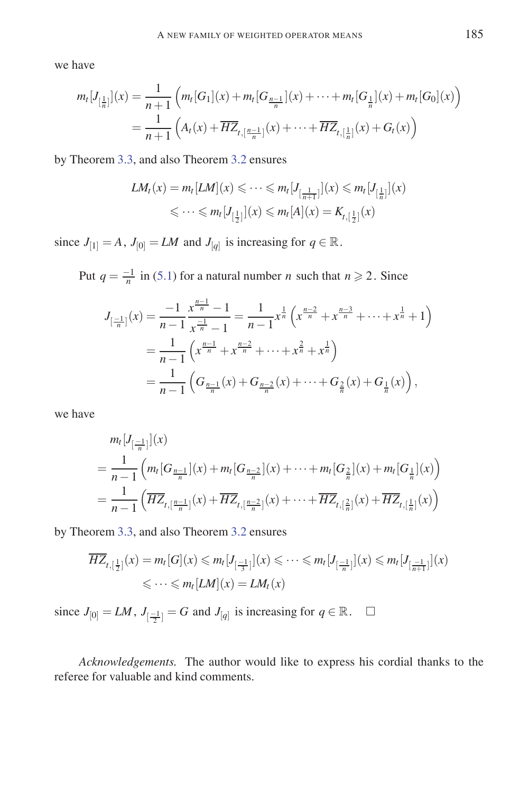we have

$$
m_t[J_{[\frac{1}{n}]}](x) = \frac{1}{n+1} \left( m_t[G_1](x) + m_t[G_{\frac{n-1}{n}}](x) + \dots + m_t[G_{\frac{1}{n}}](x) + m_t[G_0](x) \right)
$$
  
= 
$$
\frac{1}{n+1} \left( A_t(x) + \overline{HZ}_{t,[\frac{n-1}{n}]}(x) + \dots + \overline{HZ}_{t,[\frac{1}{n}]}(x) + G_t(x) \right)
$$

by Theorem 3.3, and also Theorem 3.2 ensures

$$
LM_t(x) = m_t[LM](x) \leq \dots \leq m_t[J_{[\frac{1}{n+1}]}](x) \leq m_t[J_{[\frac{1}{n}]}](x)
$$
  

$$
\leq \dots \leq m_t[J_{[\frac{1}{2}]}](x) \leq m_t[A](x) = K_{t,[\frac{1}{2}]}(x)
$$

since  $J_{[1]} = A$ ,  $J_{[0]} = LM$  and  $J_{[q]}$  is increasing for  $q \in \mathbb{R}$ .

Put  $q = \frac{-1}{n}$  in (5.1) for a natural number *n* such that  $n \ge 2$ . Since

$$
J_{\left[\frac{-1}{n}\right]}(x) = \frac{-1}{n-1} \frac{x^{\frac{n-1}{n}} - 1}{x^{\frac{-1}{n}} - 1} = \frac{1}{n-1} x^{\frac{1}{n}} \left( x^{\frac{n-2}{n}} + x^{\frac{n-3}{n}} + \dots + x^{\frac{1}{n}} + 1 \right)
$$
  
= 
$$
\frac{1}{n-1} \left( x^{\frac{n-1}{n}} + x^{\frac{n-2}{n}} + \dots + x^{\frac{2}{n}} + x^{\frac{1}{n}} \right)
$$
  
= 
$$
\frac{1}{n-1} \left( G_{\frac{n-1}{n}}(x) + G_{\frac{n-2}{n}}(x) + \dots + G_{\frac{2}{n}}(x) + G_{\frac{1}{n}}(x) \right),
$$

we have

$$
m_t [J_{\left[\frac{-1}{n}\right]}](x)
$$
  
=  $\frac{1}{n-1} \left( m_t [G_{\frac{n-1}{n}}](x) + m_t [G_{\frac{n-2}{n}}](x) + \dots + m_t [G_{\frac{2}{n}}](x) + m_t [G_{\frac{1}{n}}](x) \right)$   
=  $\frac{1}{n-1} \left( \overline{HZ}_{t, \left[\frac{n-1}{n}\right]}(x) + \overline{HZ}_{t, \left[\frac{n-2}{n}\right]}(x) + \dots + \overline{HZ}_{t, \left[\frac{2}{n}\right]}(x) + \overline{HZ}_{t, \left[\frac{1}{n}\right]}(x) \right)$ 

by Theorem 3.3, and also Theorem 3.2 ensures

$$
\overline{HZ}_{t, [\frac{1}{2}]}(x) = m_t[G](x) \le m_t[J_{[\frac{-1}{3}]}](x) \le \cdots \le m_t[J_{[\frac{-1}{n}]}](x) \le m_t[J_{[\frac{-1}{n+1}]}](x)
$$
  

$$
\le \cdots \le m_t[LM](x) = LM_t(x)
$$

since  $J_{[0]} = LM$ ,  $J_{[\frac{-1}{2}]} = G$  and  $J_{[q]}$  is increasing for  $q \in \mathbb{R}$ .  $\Box$ 

*Acknowledgements.* The author would like to express his cordial thanks to the referee for valuable and kind comments.